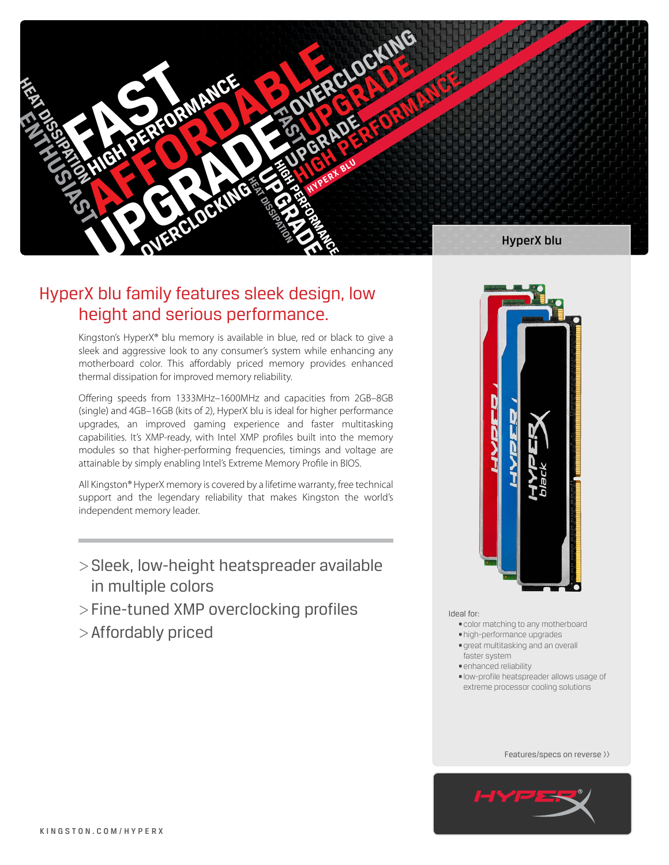

# HyperX blu family features sleek design, low height and serious performance.

Kingston's HyperX® blu memory is available in blue, red or black to give a sleek and aggressive look to any consumer's system while enhancing any motherboard color. This affordably priced memory provides enhanced thermal dissipation for improved memory reliability.

Offering speeds from 1333MHz–1600MHz and capacities from 2GB–8GB (single) and 4GB–16GB (kits of 2), HyperX blu is ideal for higher performance upgrades, an improved gaming experience and faster multitasking capabilities. It's XMP-ready, with Intel XMP profiles built into the memory modules so that higher-performing frequencies, timings and voltage are attainable by simply enabling Intel's Extreme Memory Profile in BIOS.

All Kingston® HyperX memory is covered by a lifetime warranty, free technical support and the legendary reliability that makes Kingston the world's independent memory leader.

- >Sleek, low-height heatspreader available in multiple colors
- >Fine-tuned XMP overclocking profiles
- >Affordably priced



Ideal for:

- • color matching to any motherboard
- • high-performance upgrades
- great multitasking and an overall faster system
- · enhanced reliability
- 
- • low-profile heatspreader allows usage of extreme processor cooling solutions

Features/specs on reverse >>